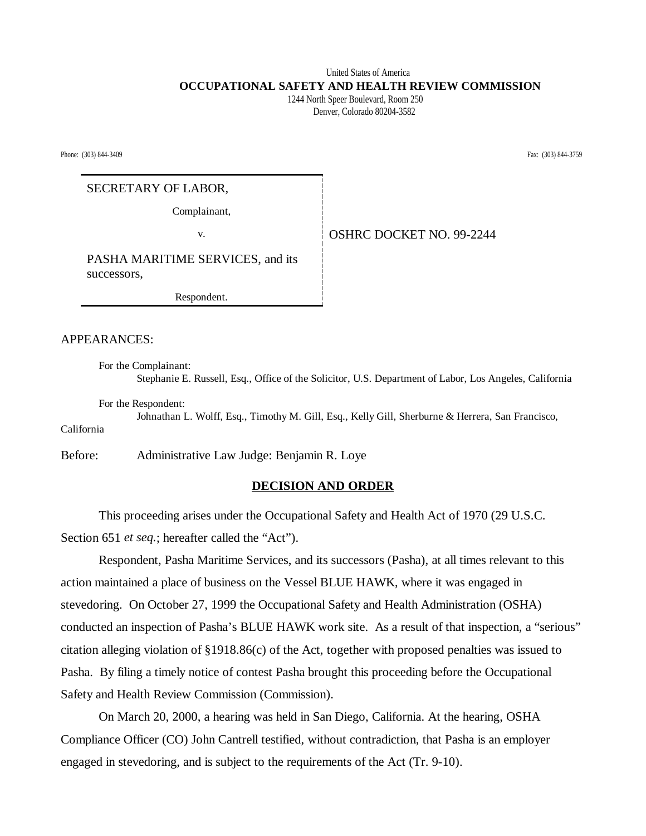# United States of America  **OCCUPATIONAL SAFETY AND HEALTH REVIEW COMMISSION**

 1244 North Speer Boulevard, Room 250 Denver, Colorado 80204-3582

Phone: (303) 844-3409 Fax: (303) 844-3759

## SECRETARY OF LABOR,

Complainant,

v. **COVERGE OSHRC DOCKET NO. 99-2244** 

PASHA MARITIME SERVICES, and its successors,

Respondent.

APPEARANCES:

For the Complainant: Stephanie E. Russell, Esq., Office of the Solicitor, U.S. Department of Labor, Los Angeles, California

For the Respondent:

Johnathan L. Wolff, Esq., Timothy M. Gill, Esq., Kelly Gill, Sherburne & Herrera, San Francisco, California

Before: Administrative Law Judge: Benjamin R. Loye

### **DECISION AND ORDER**

This proceeding arises under the Occupational Safety and Health Act of 1970 (29 U.S.C. Section 651 *et seq.*; hereafter called the "Act").

Respondent, Pasha Maritime Services, and its successors (Pasha), at all times relevant to this action maintained a place of business on the Vessel BLUE HAWK, where it was engaged in stevedoring. On October 27, 1999 the Occupational Safety and Health Administration (OSHA) conducted an inspection of Pasha's BLUE HAWK work site. As a result of that inspection, a "serious" citation alleging violation of §1918.86(c) of the Act, together with proposed penalties was issued to Pasha. By filing a timely notice of contest Pasha brought this proceeding before the Occupational Safety and Health Review Commission (Commission).

On March 20, 2000, a hearing was held in San Diego, California. At the hearing, OSHA Compliance Officer (CO) John Cantrell testified, without contradiction, that Pasha is an employer engaged in stevedoring, and is subject to the requirements of the Act (Tr. 9-10).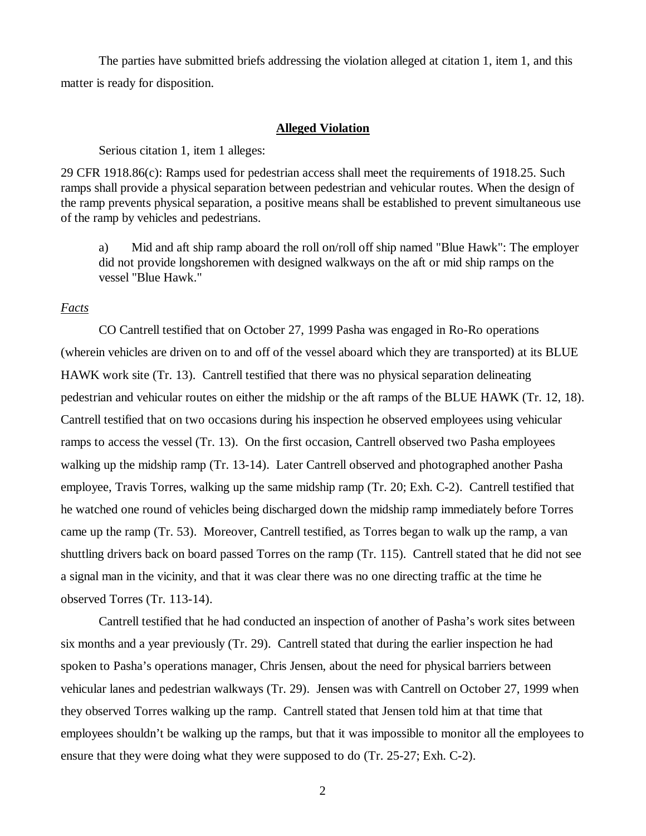The parties have submitted briefs addressing the violation alleged at citation 1, item 1, and this matter is ready for disposition.

#### **Alleged Violation**

Serious citation 1, item 1 alleges:

29 CFR 1918.86(c): Ramps used for pedestrian access shall meet the requirements of 1918.25. Such ramps shall provide a physical separation between pedestrian and vehicular routes. When the design of the ramp prevents physical separation, a positive means shall be established to prevent simultaneous use of the ramp by vehicles and pedestrians.

a) Mid and aft ship ramp aboard the roll on/roll off ship named "Blue Hawk": The employer did not provide longshoremen with designed walkways on the aft or mid ship ramps on the vessel "Blue Hawk."

#### *Facts*

CO Cantrell testified that on October 27, 1999 Pasha was engaged in Ro-Ro operations (wherein vehicles are driven on to and off of the vessel aboard which they are transported) at its BLUE HAWK work site (Tr. 13). Cantrell testified that there was no physical separation delineating pedestrian and vehicular routes on either the midship or the aft ramps of the BLUE HAWK (Tr. 12, 18). Cantrell testified that on two occasions during his inspection he observed employees using vehicular ramps to access the vessel (Tr. 13). On the first occasion, Cantrell observed two Pasha employees walking up the midship ramp (Tr. 13-14). Later Cantrell observed and photographed another Pasha employee, Travis Torres, walking up the same midship ramp (Tr. 20; Exh. C-2). Cantrell testified that he watched one round of vehicles being discharged down the midship ramp immediately before Torres came up the ramp (Tr. 53). Moreover, Cantrell testified, as Torres began to walk up the ramp, a van shuttling drivers back on board passed Torres on the ramp (Tr. 115). Cantrell stated that he did not see a signal man in the vicinity, and that it was clear there was no one directing traffic at the time he observed Torres (Tr. 113-14).

Cantrell testified that he had conducted an inspection of another of Pasha's work sites between six months and a year previously (Tr. 29). Cantrell stated that during the earlier inspection he had spoken to Pasha's operations manager, Chris Jensen, about the need for physical barriers between vehicular lanes and pedestrian walkways (Tr. 29). Jensen was with Cantrell on October 27, 1999 when they observed Torres walking up the ramp. Cantrell stated that Jensen told him at that time that employees shouldn't be walking up the ramps, but that it was impossible to monitor all the employees to ensure that they were doing what they were supposed to do (Tr. 25-27; Exh. C-2).

2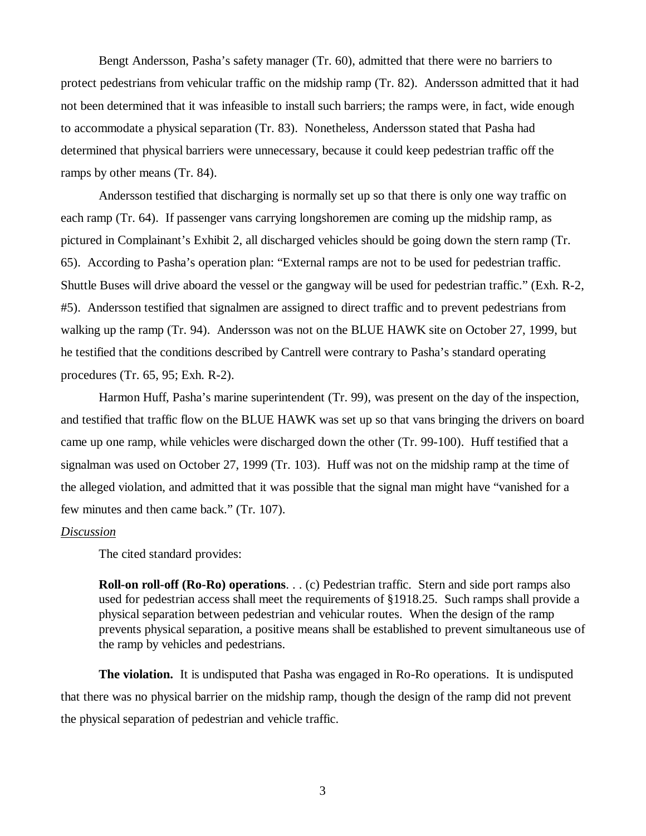Bengt Andersson, Pasha's safety manager (Tr. 60), admitted that there were no barriers to protect pedestrians from vehicular traffic on the midship ramp (Tr. 82). Andersson admitted that it had not been determined that it was infeasible to install such barriers; the ramps were, in fact, wide enough to accommodate a physical separation (Tr. 83). Nonetheless, Andersson stated that Pasha had determined that physical barriers were unnecessary, because it could keep pedestrian traffic off the ramps by other means (Tr. 84).

Andersson testified that discharging is normally set up so that there is only one way traffic on each ramp (Tr. 64). If passenger vans carrying longshoremen are coming up the midship ramp, as pictured in Complainant's Exhibit 2, all discharged vehicles should be going down the stern ramp (Tr. 65). According to Pasha's operation plan: "External ramps are not to be used for pedestrian traffic. Shuttle Buses will drive aboard the vessel or the gangway will be used for pedestrian traffic." (Exh. R-2, #5). Andersson testified that signalmen are assigned to direct traffic and to prevent pedestrians from walking up the ramp (Tr. 94). Andersson was not on the BLUE HAWK site on October 27, 1999, but he testified that the conditions described by Cantrell were contrary to Pasha's standard operating procedures (Tr. 65, 95; Exh. R-2).

Harmon Huff, Pasha's marine superintendent (Tr. 99), was present on the day of the inspection, and testified that traffic flow on the BLUE HAWK was set up so that vans bringing the drivers on board came up one ramp, while vehicles were discharged down the other (Tr. 99-100). Huff testified that a signalman was used on October 27, 1999 (Tr. 103). Huff was not on the midship ramp at the time of the alleged violation, and admitted that it was possible that the signal man might have "vanished for a few minutes and then came back." (Tr. 107).

#### *Discussion*

The cited standard provides:

**Roll-on roll-off (Ro-Ro) operations**. . . (c) Pedestrian traffic. Stern and side port ramps also used for pedestrian access shall meet the requirements of §1918.25. Such ramps shall provide a physical separation between pedestrian and vehicular routes. When the design of the ramp prevents physical separation, a positive means shall be established to prevent simultaneous use of the ramp by vehicles and pedestrians.

**The violation.** It is undisputed that Pasha was engaged in Ro-Ro operations. It is undisputed that there was no physical barrier on the midship ramp, though the design of the ramp did not prevent the physical separation of pedestrian and vehicle traffic.

3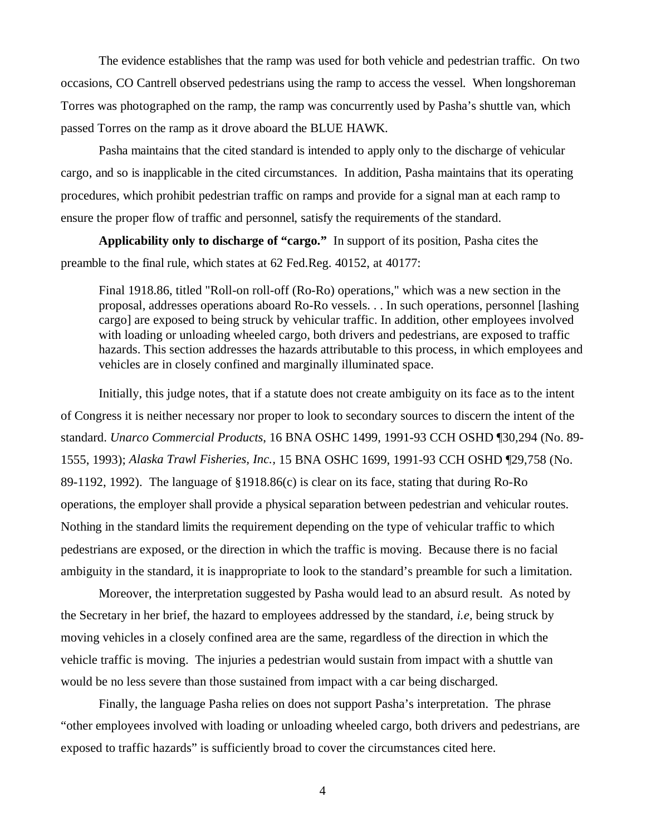The evidence establishes that the ramp was used for both vehicle and pedestrian traffic. On two occasions, CO Cantrell observed pedestrians using the ramp to access the vessel. When longshoreman Torres was photographed on the ramp, the ramp was concurrently used by Pasha's shuttle van, which passed Torres on the ramp as it drove aboard the BLUE HAWK.

Pasha maintains that the cited standard is intended to apply only to the discharge of vehicular cargo, and so is inapplicable in the cited circumstances. In addition, Pasha maintains that its operating procedures, which prohibit pedestrian traffic on ramps and provide for a signal man at each ramp to ensure the proper flow of traffic and personnel, satisfy the requirements of the standard.

**Applicability only to discharge of "cargo."** In support of its position, Pasha cites the preamble to the final rule, which states at 62 Fed.Reg. 40152, at 40177:

Final 1918.86, titled "Roll-on roll-off (Ro-Ro) operations," which was a new section in the proposal, addresses operations aboard Ro-Ro vessels. . . In such operations, personnel [lashing cargo] are exposed to being struck by vehicular traffic. In addition, other employees involved with loading or unloading wheeled cargo, both drivers and pedestrians, are exposed to traffic hazards. This section addresses the hazards attributable to this process, in which employees and vehicles are in closely confined and marginally illuminated space.

Initially, this judge notes, that if a statute does not create ambiguity on its face as to the intent of Congress it is neither necessary nor proper to look to secondary sources to discern the intent of the standard. *Unarco Commercial Products*, 16 BNA OSHC 1499, 1991-93 CCH OSHD ¶30,294 (No. 89- 1555, 1993); *Alaska Trawl Fisheries, Inc.,* 15 BNA OSHC 1699, 1991-93 CCH OSHD ¶29,758 (No. 89-1192, 1992). The language of §1918.86(c) is clear on its face, stating that during Ro-Ro operations, the employer shall provide a physical separation between pedestrian and vehicular routes. Nothing in the standard limits the requirement depending on the type of vehicular traffic to which pedestrians are exposed, or the direction in which the traffic is moving. Because there is no facial ambiguity in the standard, it is inappropriate to look to the standard's preamble for such a limitation.

Moreover, the interpretation suggested by Pasha would lead to an absurd result. As noted by the Secretary in her brief, the hazard to employees addressed by the standard, *i.e,* being struck by moving vehicles in a closely confined area are the same, regardless of the direction in which the vehicle traffic is moving. The injuries a pedestrian would sustain from impact with a shuttle van would be no less severe than those sustained from impact with a car being discharged.

Finally, the language Pasha relies on does not support Pasha's interpretation. The phrase "other employees involved with loading or unloading wheeled cargo, both drivers and pedestrians, are exposed to traffic hazards" is sufficiently broad to cover the circumstances cited here.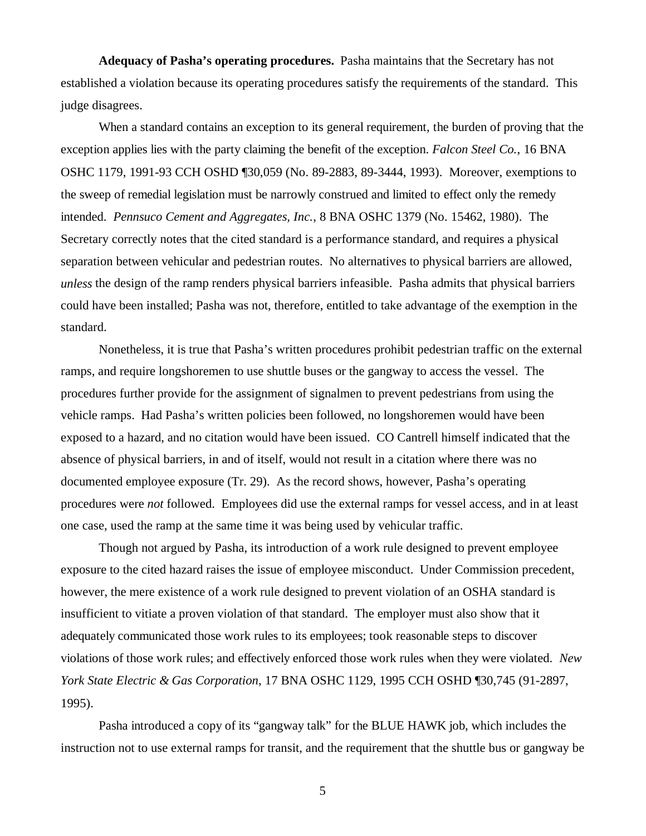**Adequacy of Pasha's operating procedures.** Pasha maintains that the Secretary has not established a violation because its operating procedures satisfy the requirements of the standard. This judge disagrees.

 When a standard contains an exception to its general requirement, the burden of proving that the exception applies lies with the party claiming the benefit of the exception. *Falcon Steel Co.*, 16 BNA OSHC 1179, 1991-93 CCH OSHD ¶30,059 (No. 89-2883, 89-3444, 1993). Moreover, exemptions to the sweep of remedial legislation must be narrowly construed and limited to effect only the remedy intended. *Pennsuco Cement and Aggregates, Inc.*, 8 BNA OSHC 1379 (No. 15462, 1980). The Secretary correctly notes that the cited standard is a performance standard, and requires a physical separation between vehicular and pedestrian routes. No alternatives to physical barriers are allowed, *unless* the design of the ramp renders physical barriers infeasible. Pasha admits that physical barriers could have been installed; Pasha was not, therefore, entitled to take advantage of the exemption in the standard.

Nonetheless, it is true that Pasha's written procedures prohibit pedestrian traffic on the external ramps, and require longshoremen to use shuttle buses or the gangway to access the vessel. The procedures further provide for the assignment of signalmen to prevent pedestrians from using the vehicle ramps. Had Pasha's written policies been followed, no longshoremen would have been exposed to a hazard, and no citation would have been issued. CO Cantrell himself indicated that the absence of physical barriers, in and of itself, would not result in a citation where there was no documented employee exposure (Tr. 29). As the record shows, however, Pasha's operating procedures were *not* followed. Employees did use the external ramps for vessel access, and in at least one case, used the ramp at the same time it was being used by vehicular traffic.

Though not argued by Pasha, its introduction of a work rule designed to prevent employee exposure to the cited hazard raises the issue of employee misconduct. Under Commission precedent, however, the mere existence of a work rule designed to prevent violation of an OSHA standard is insufficient to vitiate a proven violation of that standard. The employer must also show that it adequately communicated those work rules to its employees; took reasonable steps to discover violations of those work rules; and effectively enforced those work rules when they were violated. *New York State Electric & Gas Corporation*, 17 BNA OSHC 1129, 1995 CCH OSHD ¶30,745 (91-2897, 1995).

Pasha introduced a copy of its "gangway talk" for the BLUE HAWK job, which includes the instruction not to use external ramps for transit, and the requirement that the shuttle bus or gangway be

5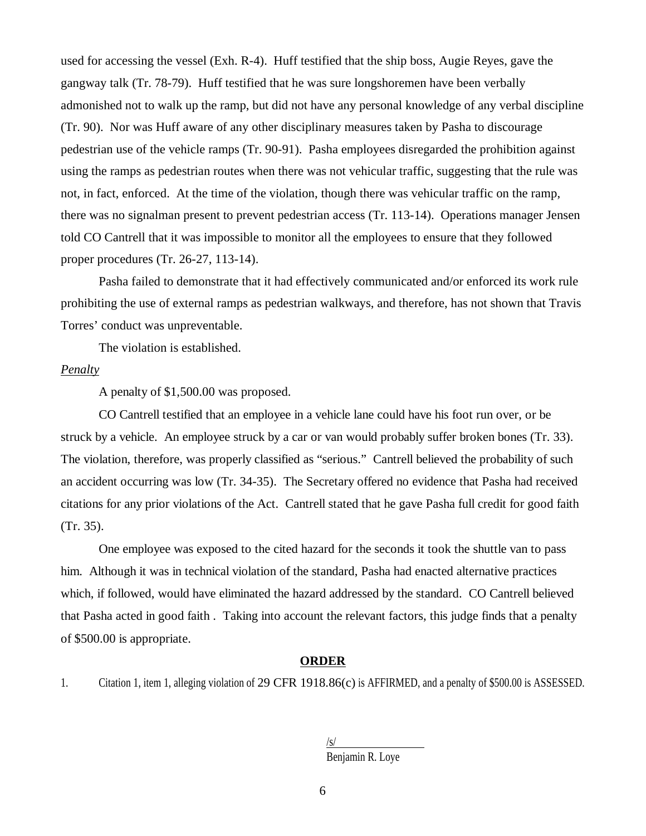used for accessing the vessel (Exh. R-4). Huff testified that the ship boss, Augie Reyes, gave the gangway talk (Tr. 78-79). Huff testified that he was sure longshoremen have been verbally admonished not to walk up the ramp, but did not have any personal knowledge of any verbal discipline (Tr. 90). Nor was Huff aware of any other disciplinary measures taken by Pasha to discourage pedestrian use of the vehicle ramps (Tr. 90-91). Pasha employees disregarded the prohibition against using the ramps as pedestrian routes when there was not vehicular traffic, suggesting that the rule was not, in fact, enforced. At the time of the violation, though there was vehicular traffic on the ramp, there was no signalman present to prevent pedestrian access (Tr. 113-14). Operations manager Jensen told CO Cantrell that it was impossible to monitor all the employees to ensure that they followed proper procedures (Tr. 26-27, 113-14).

Pasha failed to demonstrate that it had effectively communicated and/or enforced its work rule prohibiting the use of external ramps as pedestrian walkways, and therefore, has not shown that Travis Torres' conduct was unpreventable.

The violation is established.

#### *Penalty*

A penalty of \$1,500.00 was proposed.

CO Cantrell testified that an employee in a vehicle lane could have his foot run over, or be struck by a vehicle. An employee struck by a car or van would probably suffer broken bones (Tr. 33). The violation, therefore, was properly classified as "serious." Cantrell believed the probability of such an accident occurring was low (Tr. 34-35). The Secretary offered no evidence that Pasha had received citations for any prior violations of the Act. Cantrell stated that he gave Pasha full credit for good faith (Tr. 35).

One employee was exposed to the cited hazard for the seconds it took the shuttle van to pass him. Although it was in technical violation of the standard, Pasha had enacted alternative practices which, if followed, would have eliminated the hazard addressed by the standard. CO Cantrell believed that Pasha acted in good faith . Taking into account the relevant factors, this judge finds that a penalty of \$500.00 is appropriate.

#### **ORDER**

1. Citation 1, item 1, alleging violation of 29 CFR 1918.86(c) is AFFIRMED, and a penalty of \$500.00 is ASSESSED.

| $\sqrt{s}$       |  |
|------------------|--|
| Benjamin R. Loye |  |